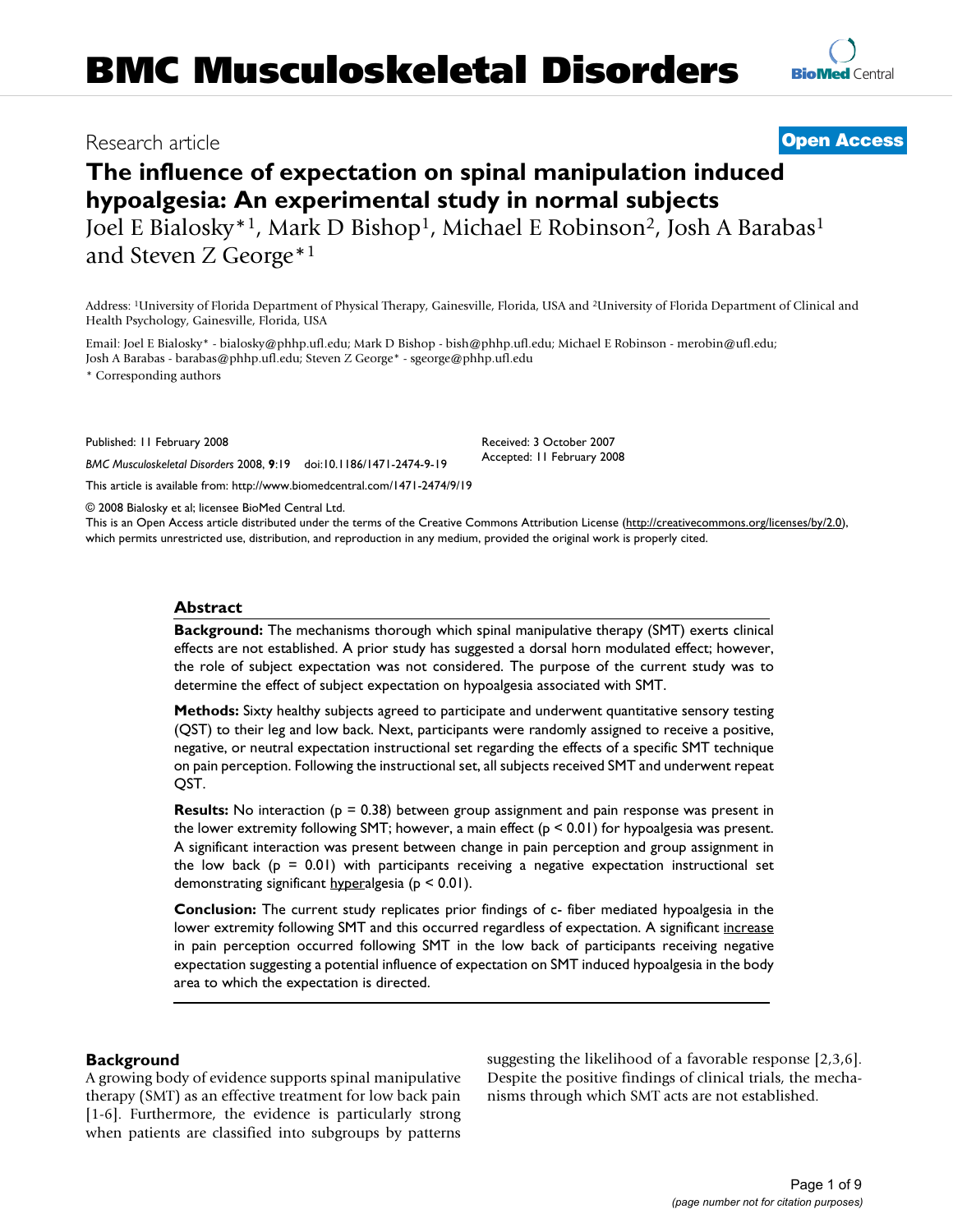## Research article **[Open Access](http://www.biomedcentral.com/info/about/charter/)**

# **The influence of expectation on spinal manipulation induced hypoalgesia: An experimental study in normal subjects** Joel E Bialosky\*1, Mark D Bishop1, Michael E Robinson2, Josh A Barabas1

and Steven Z George\*1

Address: 1University of Florida Department of Physical Therapy, Gainesville, Florida, USA and 2University of Florida Department of Clinical and Health Psychology, Gainesville, Florida, USA

Email: Joel E Bialosky\* - bialosky@phhp.ufl.edu; Mark D Bishop - bish@phhp.ufl.edu; Michael E Robinson - merobin@ufl.edu; Josh A Barabas - barabas@phhp.ufl.edu; Steven Z George\* - sgeorge@phhp.ufl.edu

\* Corresponding authors

Published: 11 February 2008

*BMC Musculoskeletal Disorders* 2008, **9**:19 doi:10.1186/1471-2474-9-19

[This article is available from: http://www.biomedcentral.com/1471-2474/9/19](http://www.biomedcentral.com/1471-2474/9/19)

© 2008 Bialosky et al; licensee BioMed Central Ltd.

This is an Open Access article distributed under the terms of the Creative Commons Attribution License [\(http://creativecommons.org/licenses/by/2.0\)](http://creativecommons.org/licenses/by/2.0), which permits unrestricted use, distribution, and reproduction in any medium, provided the original work is properly cited.

#### **Abstract**

**Background:** The mechanisms thorough which spinal manipulative therapy (SMT) exerts clinical effects are not established. A prior study has suggested a dorsal horn modulated effect; however, the role of subject expectation was not considered. The purpose of the current study was to determine the effect of subject expectation on hypoalgesia associated with SMT.

**Methods:** Sixty healthy subjects agreed to participate and underwent quantitative sensory testing (QST) to their leg and low back. Next, participants were randomly assigned to receive a positive, negative, or neutral expectation instructional set regarding the effects of a specific SMT technique on pain perception. Following the instructional set, all subjects received SMT and underwent repeat QST.

**Results:** No interaction (p = 0.38) between group assignment and pain response was present in the lower extremity following SMT; however, a main effect ( $p \le 0.01$ ) for hypoalgesia was present. A significant interaction was present between change in pain perception and group assignment in the low back ( $p = 0.01$ ) with participants receiving a negative expectation instructional set demonstrating significant hyperalgesia ( $p < 0.01$ ).

**Conclusion:** The current study replicates prior findings of c- fiber mediated hypoalgesia in the lower extremity following SMT and this occurred regardless of expectation. A significant increase in pain perception occurred following SMT in the low back of participants receiving negative expectation suggesting a potential influence of expectation on SMT induced hypoalgesia in the body area to which the expectation is directed.

#### **Background**

A growing body of evidence supports spinal manipulative therapy (SMT) as an effective treatment for low back pain [1-6]. Furthermore, the evidence is particularly strong when patients are classified into subgroups by patterns suggesting the likelihood of a favorable response [2,3,6]. Despite the positive findings of clinical trials, the mechanisms through which SMT acts are not established.

Received: 3 October 2007 Accepted: 11 February 2008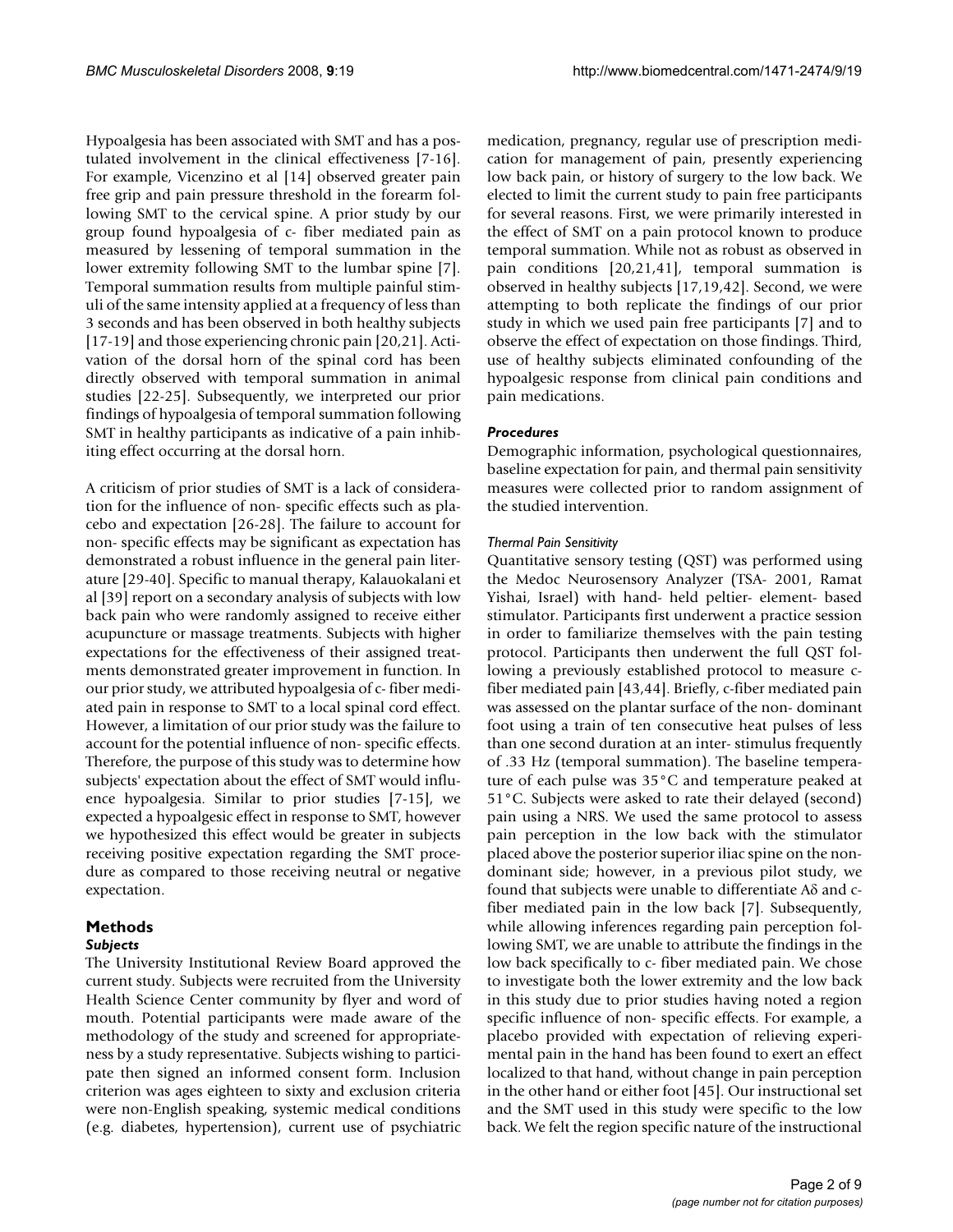Hypoalgesia has been associated with SMT and has a postulated involvement in the clinical effectiveness [7-16]. For example, Vicenzino et al [14] observed greater pain free grip and pain pressure threshold in the forearm following SMT to the cervical spine. A prior study by our group found hypoalgesia of c- fiber mediated pain as measured by lessening of temporal summation in the lower extremity following SMT to the lumbar spine [7]. Temporal summation results from multiple painful stimuli of the same intensity applied at a frequency of less than 3 seconds and has been observed in both healthy subjects [17-19] and those experiencing chronic pain [20,21]. Activation of the dorsal horn of the spinal cord has been directly observed with temporal summation in animal studies [22-25]. Subsequently, we interpreted our prior findings of hypoalgesia of temporal summation following SMT in healthy participants as indicative of a pain inhibiting effect occurring at the dorsal horn.

A criticism of prior studies of SMT is a lack of consideration for the influence of non- specific effects such as placebo and expectation [26-28]. The failure to account for non- specific effects may be significant as expectation has demonstrated a robust influence in the general pain literature [29-40]. Specific to manual therapy, Kalauokalani et al [39] report on a secondary analysis of subjects with low back pain who were randomly assigned to receive either acupuncture or massage treatments. Subjects with higher expectations for the effectiveness of their assigned treatments demonstrated greater improvement in function. In our prior study, we attributed hypoalgesia of c- fiber mediated pain in response to SMT to a local spinal cord effect. However, a limitation of our prior study was the failure to account for the potential influence of non- specific effects. Therefore, the purpose of this study was to determine how subjects' expectation about the effect of SMT would influence hypoalgesia. Similar to prior studies [7-15], we expected a hypoalgesic effect in response to SMT, however we hypothesized this effect would be greater in subjects receiving positive expectation regarding the SMT procedure as compared to those receiving neutral or negative expectation.

#### **Methods**

#### *Subjects*

The University Institutional Review Board approved the current study. Subjects were recruited from the University Health Science Center community by flyer and word of mouth. Potential participants were made aware of the methodology of the study and screened for appropriateness by a study representative. Subjects wishing to participate then signed an informed consent form. Inclusion criterion was ages eighteen to sixty and exclusion criteria were non-English speaking, systemic medical conditions (e.g. diabetes, hypertension), current use of psychiatric medication, pregnancy, regular use of prescription medication for management of pain, presently experiencing low back pain, or history of surgery to the low back. We elected to limit the current study to pain free participants for several reasons. First, we were primarily interested in the effect of SMT on a pain protocol known to produce temporal summation. While not as robust as observed in pain conditions [20,21,41], temporal summation is observed in healthy subjects [17,19,42]. Second, we were attempting to both replicate the findings of our prior study in which we used pain free participants [7] and to observe the effect of expectation on those findings. Third, use of healthy subjects eliminated confounding of the hypoalgesic response from clinical pain conditions and pain medications.

#### *Procedures*

Demographic information, psychological questionnaires, baseline expectation for pain, and thermal pain sensitivity measures were collected prior to random assignment of the studied intervention.

#### *Thermal Pain Sensitivity*

Quantitative sensory testing (QST) was performed using the Medoc Neurosensory Analyzer (TSA- 2001, Ramat Yishai, Israel) with hand- held peltier- element- based stimulator. Participants first underwent a practice session in order to familiarize themselves with the pain testing protocol. Participants then underwent the full QST following a previously established protocol to measure cfiber mediated pain [43,44]. Briefly, c-fiber mediated pain was assessed on the plantar surface of the non- dominant foot using a train of ten consecutive heat pulses of less than one second duration at an inter- stimulus frequently of .33 Hz (temporal summation). The baseline temperature of each pulse was 35°C and temperature peaked at 51°C. Subjects were asked to rate their delayed (second) pain using a NRS. We used the same protocol to assess pain perception in the low back with the stimulator placed above the posterior superior iliac spine on the nondominant side; however, in a previous pilot study, we found that subjects were unable to differentiate Aδ and cfiber mediated pain in the low back [7]. Subsequently, while allowing inferences regarding pain perception following SMT, we are unable to attribute the findings in the low back specifically to c- fiber mediated pain. We chose to investigate both the lower extremity and the low back in this study due to prior studies having noted a region specific influence of non- specific effects. For example, a placebo provided with expectation of relieving experimental pain in the hand has been found to exert an effect localized to that hand, without change in pain perception in the other hand or either foot [45]. Our instructional set and the SMT used in this study were specific to the low back. We felt the region specific nature of the instructional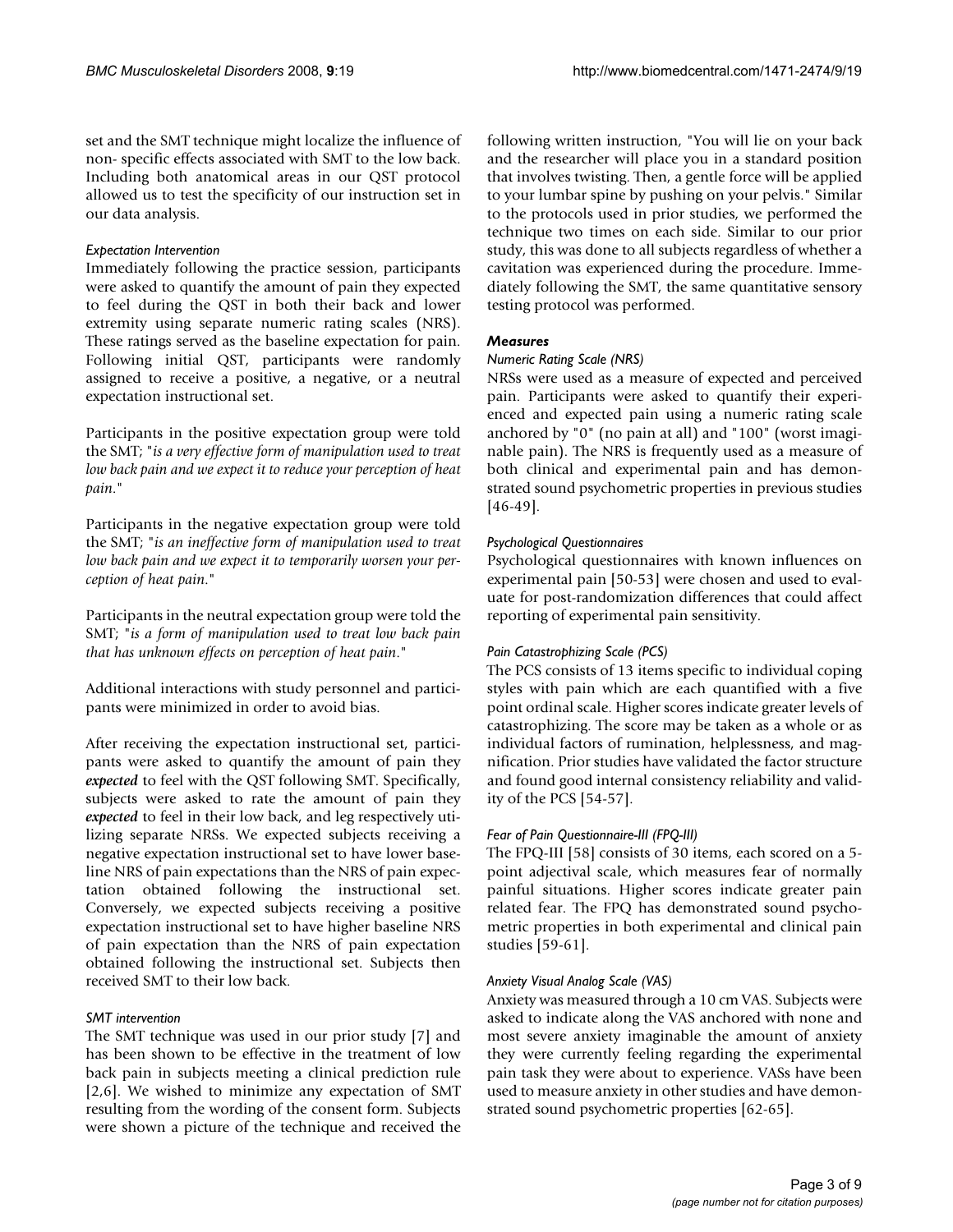set and the SMT technique might localize the influence of non- specific effects associated with SMT to the low back. Including both anatomical areas in our QST protocol allowed us to test the specificity of our instruction set in our data analysis.

#### *Expectation Intervention*

Immediately following the practice session, participants were asked to quantify the amount of pain they expected to feel during the QST in both their back and lower extremity using separate numeric rating scales (NRS). These ratings served as the baseline expectation for pain. Following initial QST, participants were randomly assigned to receive a positive, a negative, or a neutral expectation instructional set.

Participants in the positive expectation group were told the SMT; "*is a very effective form of manipulation used to treat low back pain and we expect it to reduce your perception of heat pain*."

Participants in the negative expectation group were told the SMT; "*is an ineffective form of manipulation used to treat low back pain and we expect it to temporarily worsen your perception of heat pain*."

Participants in the neutral expectation group were told the SMT; "*is a form of manipulation used to treat low back pain that has unknown effects on perception of heat pain*."

Additional interactions with study personnel and participants were minimized in order to avoid bias.

After receiving the expectation instructional set, participants were asked to quantify the amount of pain they *expected* to feel with the QST following SMT. Specifically, subjects were asked to rate the amount of pain they *expected* to feel in their low back, and leg respectively utilizing separate NRSs. We expected subjects receiving a negative expectation instructional set to have lower baseline NRS of pain expectations than the NRS of pain expectation obtained following the instructional set. Conversely, we expected subjects receiving a positive expectation instructional set to have higher baseline NRS of pain expectation than the NRS of pain expectation obtained following the instructional set. Subjects then received SMT to their low back.

#### *SMT intervention*

The SMT technique was used in our prior study [7] and has been shown to be effective in the treatment of low back pain in subjects meeting a clinical prediction rule [2,6]. We wished to minimize any expectation of SMT resulting from the wording of the consent form. Subjects were shown a picture of the technique and received the following written instruction, "You will lie on your back and the researcher will place you in a standard position that involves twisting. Then, a gentle force will be applied to your lumbar spine by pushing on your pelvis." Similar to the protocols used in prior studies, we performed the technique two times on each side. Similar to our prior study, this was done to all subjects regardless of whether a cavitation was experienced during the procedure. Immediately following the SMT, the same quantitative sensory testing protocol was performed.

#### *Measures*

#### *Numeric Rating Scale (NRS)*

NRSs were used as a measure of expected and perceived pain. Participants were asked to quantify their experienced and expected pain using a numeric rating scale anchored by "0" (no pain at all) and "100" (worst imaginable pain). The NRS is frequently used as a measure of both clinical and experimental pain and has demonstrated sound psychometric properties in previous studies [46-49].

#### *Psychological Questionnaires*

Psychological questionnaires with known influences on experimental pain [50-53] were chosen and used to evaluate for post-randomization differences that could affect reporting of experimental pain sensitivity.

#### *Pain Catastrophizing Scale (PCS)*

The PCS consists of 13 items specific to individual coping styles with pain which are each quantified with a five point ordinal scale. Higher scores indicate greater levels of catastrophizing. The score may be taken as a whole or as individual factors of rumination, helplessness, and magnification. Prior studies have validated the factor structure and found good internal consistency reliability and validity of the PCS [54-57].

#### *Fear of Pain Questionnaire-III (FPQ-III)*

The FPQ-III [58] consists of 30 items, each scored on a 5 point adjectival scale, which measures fear of normally painful situations. Higher scores indicate greater pain related fear. The FPQ has demonstrated sound psychometric properties in both experimental and clinical pain studies [59-61].

#### *Anxiety Visual Analog Scale (VAS)*

Anxiety was measured through a 10 cm VAS. Subjects were asked to indicate along the VAS anchored with none and most severe anxiety imaginable the amount of anxiety they were currently feeling regarding the experimental pain task they were about to experience. VASs have been used to measure anxiety in other studies and have demonstrated sound psychometric properties [62-65].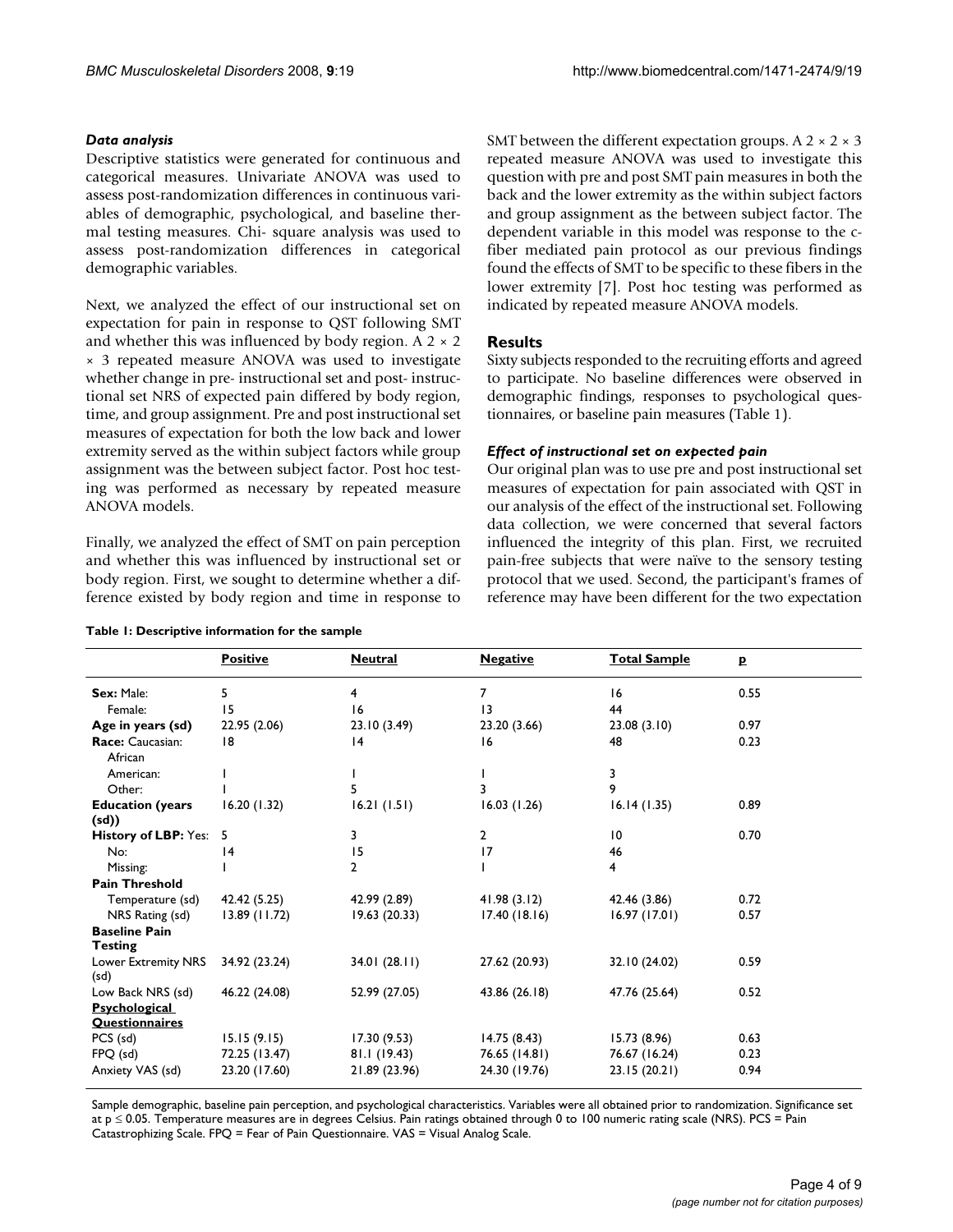#### *Data analysis*

Descriptive statistics were generated for continuous and categorical measures. Univariate ANOVA was used to assess post-randomization differences in continuous variables of demographic, psychological, and baseline thermal testing measures. Chi- square analysis was used to assess post-randomization differences in categorical demographic variables.

Next, we analyzed the effect of our instructional set on expectation for pain in response to QST following SMT and whether this was influenced by body region. A 2  $\times$  2 × 3 repeated measure ANOVA was used to investigate whether change in pre- instructional set and post- instructional set NRS of expected pain differed by body region, time, and group assignment. Pre and post instructional set measures of expectation for both the low back and lower extremity served as the within subject factors while group assignment was the between subject factor. Post hoc testing was performed as necessary by repeated measure ANOVA models.

Finally, we analyzed the effect of SMT on pain perception and whether this was influenced by instructional set or body region. First, we sought to determine whether a difference existed by body region and time in response to

|  |  | Table 1: Descriptive information for the sample |  |  |
|--|--|-------------------------------------------------|--|--|
|--|--|-------------------------------------------------|--|--|

SMT between the different expectation groups. A  $2 \times 2 \times 3$ repeated measure ANOVA was used to investigate this question with pre and post SMT pain measures in both the back and the lower extremity as the within subject factors and group assignment as the between subject factor. The dependent variable in this model was response to the cfiber mediated pain protocol as our previous findings found the effects of SMT to be specific to these fibers in the lower extremity [7]. Post hoc testing was performed as indicated by repeated measure ANOVA models.

#### **Results**

Sixty subjects responded to the recruiting efforts and agreed to participate. No baseline differences were observed in demographic findings, responses to psychological questionnaires, or baseline pain measures (Table 1).

#### *Effect of instructional set on expected pain*

Our original plan was to use pre and post instructional set measures of expectation for pain associated with QST in our analysis of the effect of the instructional set. Following data collection, we were concerned that several factors influenced the integrity of this plan. First, we recruited pain-free subjects that were naïve to the sensory testing protocol that we used. Second, the participant's frames of reference may have been different for the two expectation

|                                               | <b>Positive</b> | <b>Neutral</b> | <b>Negative</b> | <b>Total Sample</b> | p    |
|-----------------------------------------------|-----------------|----------------|-----------------|---------------------|------|
| Sex: Male:                                    | 5               | 4              | 7               | 16                  | 0.55 |
| Female:                                       | 15              | 16             | 3               | 44                  |      |
| Age in years (sd)                             | 22.95 (2.06)    | 23.10 (3.49)   | 23.20 (3.66)    | 23.08(3.10)         | 0.97 |
| Race: Caucasian:<br>African                   | 18              | 4              | 16              | 48                  | 0.23 |
| American:                                     |                 |                |                 | 3                   |      |
| Other:                                        |                 | 5              | 3               | 9                   |      |
| <b>Education (years</b>                       | 16.20(1.32)     | 16.21(1.51)    | 16.03(1.26)     | 16.14(1.35)         | 0.89 |
| (sd))                                         |                 |                |                 |                     |      |
| <b>History of LBP: Yes:</b>                   | 5               | 3              | $\mathbf{2}$    | $\overline{10}$     | 0.70 |
| No:                                           | 4               | 15             | 17              | 46                  |      |
| Missing:                                      |                 | $\overline{2}$ |                 | 4                   |      |
| <b>Pain Threshold</b>                         |                 |                |                 |                     |      |
| Temperature (sd)                              | 42.42 (5.25)    | 42.99 (2.89)   | 41.98(3.12)     | 42.46 (3.86)        | 0.72 |
| NRS Rating (sd)                               | 13.89(11.72)    | 19.63(20.33)   | 17.40(18.16)    | 16.97 (17.01)       | 0.57 |
| <b>Baseline Pain</b>                          |                 |                |                 |                     |      |
| <b>Testing</b>                                |                 |                |                 |                     |      |
| Lower Extremity NRS<br>(sd)                   | 34.92 (23.24)   | 34.01 (28.11)  | 27.62 (20.93)   | 32.10 (24.02)       | 0.59 |
| Low Back NRS (sd)                             | 46.22 (24.08)   | 52.99 (27.05)  | 43.86 (26.18)   | 47.76 (25.64)       | 0.52 |
| <b>Psychological</b><br><b>Questionnaires</b> |                 |                |                 |                     |      |
| $PCS$ (sd)                                    | 15.15(9.15)     | 17.30(9.53)    | 14.75(8.43)     | 15.73 (8.96)        | 0.63 |
| FPQ (sd)                                      | 72.25 (13.47)   | 81.1 (19.43)   | 76.65 (14.81)   | 76.67 (16.24)       | 0.23 |
| Anxiety VAS (sd)                              | 23.20 (17.60)   | 21.89 (23.96)  | 24.30 (19.76)   | 23.15 (20.21)       | 0.94 |

Sample demographic, baseline pain perception, and psychological characteristics. Variables were all obtained prior to randomization. Significance set at p ≤ 0.05. Temperature measures are in degrees Celsius. Pain ratings obtained through 0 to 100 numeric rating scale (NRS). PCS = Pain Catastrophizing Scale. FPQ = Fear of Pain Questionnaire. VAS = Visual Analog Scale.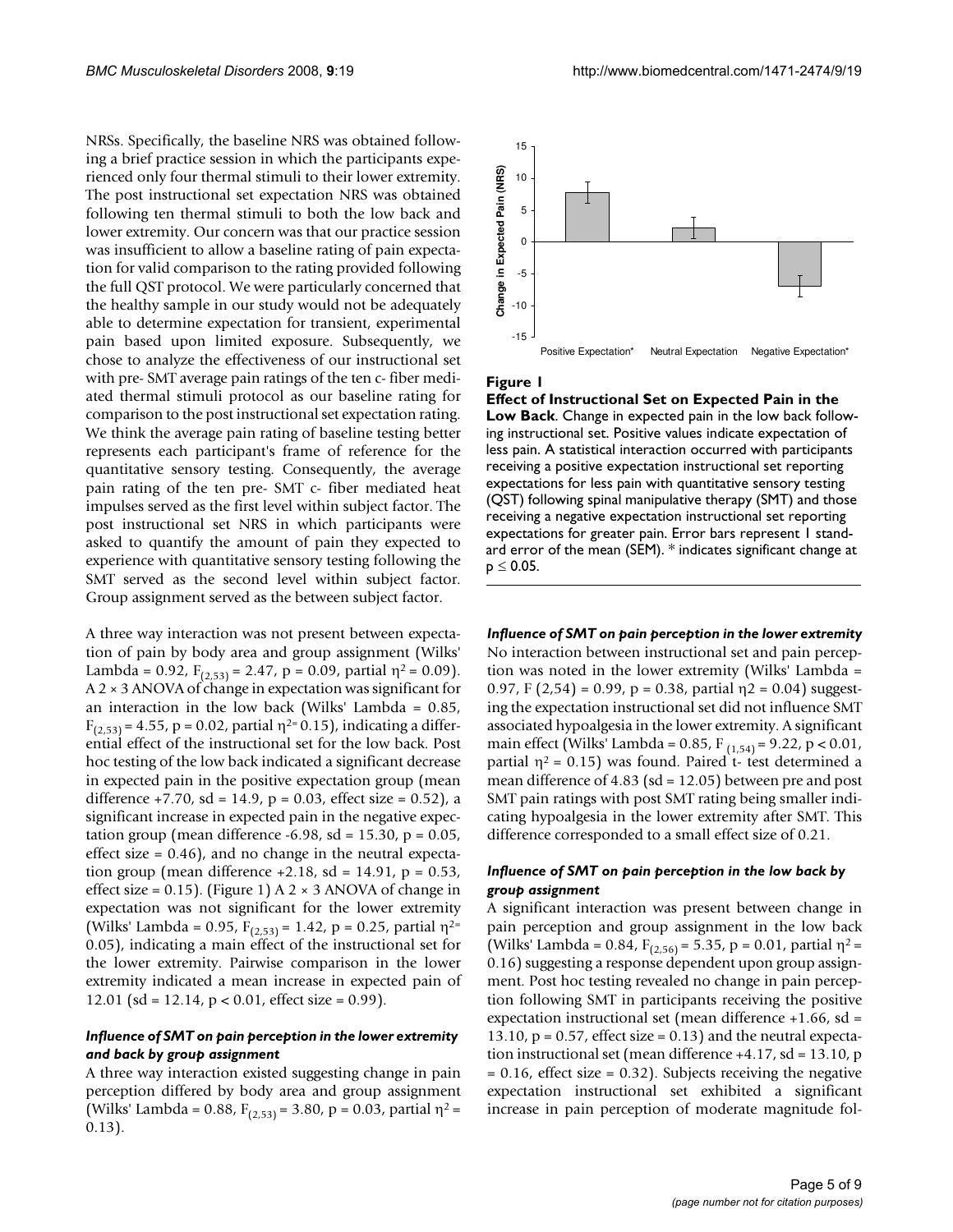NRSs. Specifically, the baseline NRS was obtained following a brief practice session in which the participants experienced only four thermal stimuli to their lower extremity. The post instructional set expectation NRS was obtained following ten thermal stimuli to both the low back and lower extremity. Our concern was that our practice session was insufficient to allow a baseline rating of pain expectation for valid comparison to the rating provided following the full QST protocol. We were particularly concerned that the healthy sample in our study would not be adequately able to determine expectation for transient, experimental pain based upon limited exposure. Subsequently, we chose to analyze the effectiveness of our instructional set with pre- SMT average pain ratings of the ten c- fiber mediated thermal stimuli protocol as our baseline rating for comparison to the post instructional set expectation rating. We think the average pain rating of baseline testing better represents each participant's frame of reference for the quantitative sensory testing. Consequently, the average pain rating of the ten pre- SMT c- fiber mediated heat impulses served as the first level within subject factor. The post instructional set NRS in which participants were asked to quantify the amount of pain they expected to experience with quantitative sensory testing following the SMT served as the second level within subject factor. Group assignment served as the between subject factor.

A three way interaction was not present between expectation of pain by body area and group assignment (Wilks' Lambda = 0.92,  $F_{(2,53)} = 2.47$ , p = 0.09, partial  $\eta^2 = 0.09$ ). A 2 × 3 ANOVA of change in expectation was significant for an interaction in the low back (Wilks' Lambda = 0.85,  $F_{(2,53)} = 4.55$ , p = 0.02, partial  $\eta^{2=0.15}$ ), indicating a differential effect of the instructional set for the low back. Post hoc testing of the low back indicated a significant decrease in expected pain in the positive expectation group (mean difference  $+7.70$ , sd = 14.9, p = 0.03, effect size = 0.52), a significant increase in expected pain in the negative expectation group (mean difference  $-6.98$ , sd = 15.30, p = 0.05, effect size  $= 0.46$ , and no change in the neutral expectation group (mean difference  $+2.18$ , sd = 14.91, p = 0.53, effect size =  $0.15$ ). (Figure 1) A 2  $\times$  3 ANOVA of change in expectation was not significant for the lower extremity (Wilks' Lambda = 0.95,  $F_{(2,53)} = 1.42$ , p = 0.25, partial  $\eta^{2}$ = 0.05), indicating a main effect of the instructional set for the lower extremity. Pairwise comparison in the lower extremity indicated a mean increase in expected pain of 12.01 (sd = 12.14,  $p < 0.01$ , effect size = 0.99).

#### *Influence of SMT on pain perception in the lower extremity and back by group assignment*

A three way interaction existed suggesting change in pain perception differed by body area and group assignment (Wilks' Lambda = 0.88,  $F_{(2,53)} = 3.80$ , p = 0.03, partial  $\eta^2$  = 0.13).



**Figure I** 

**Effect of Instructional Set on Expected Pain in the Low Back**. Change in expected pain in the low back following instructional set. Positive values indicate expectation of less pain. A statistical interaction occurred with participants receiving a positive expectation instructional set reporting expectations for less pain with quantitative sensory testing (QST) following spinal manipulative therapy (SMT) and those receiving a negative expectation instructional set reporting expectations for greater pain. Error bars represent 1 standard error of the mean (SEM). \* indicates significant change at  $p \leq 0.05$ .

*Influence of SMT on pain perception in the lower extremity*

No interaction between instructional set and pain perception was noted in the lower extremity (Wilks' Lambda = 0.97, F  $(2,54) = 0.99$ , p = 0.38, partial  $\eta$ 2 = 0.04) suggesting the expectation instructional set did not influence SMT associated hypoalgesia in the lower extremity. A significant main effect (Wilks' Lambda = 0.85, F  $_{(1,54)}$  = 9.22, p < 0.01, partial  $\eta^2$  = 0.15) was found. Paired t- test determined a mean difference of 4.83 (sd = 12.05) between pre and post SMT pain ratings with post SMT rating being smaller indicating hypoalgesia in the lower extremity after SMT. This difference corresponded to a small effect size of 0.21.

#### *Influence of SMT on pain perception in the low back by group assignment*

A significant interaction was present between change in pain perception and group assignment in the low back (Wilks' Lambda = 0.84,  $F_{(2,56)} = 5.35$ , p = 0.01, partial  $\eta^2$  = 0.16) suggesting a response dependent upon group assignment. Post hoc testing revealed no change in pain perception following SMT in participants receiving the positive expectation instructional set (mean difference +1.66, sd = 13.10,  $p = 0.57$ , effect size = 0.13) and the neutral expectation instructional set (mean difference +4.17, sd = 13.10, p  $= 0.16$ , effect size  $= 0.32$ ). Subjects receiving the negative expectation instructional set exhibited a significant increase in pain perception of moderate magnitude fol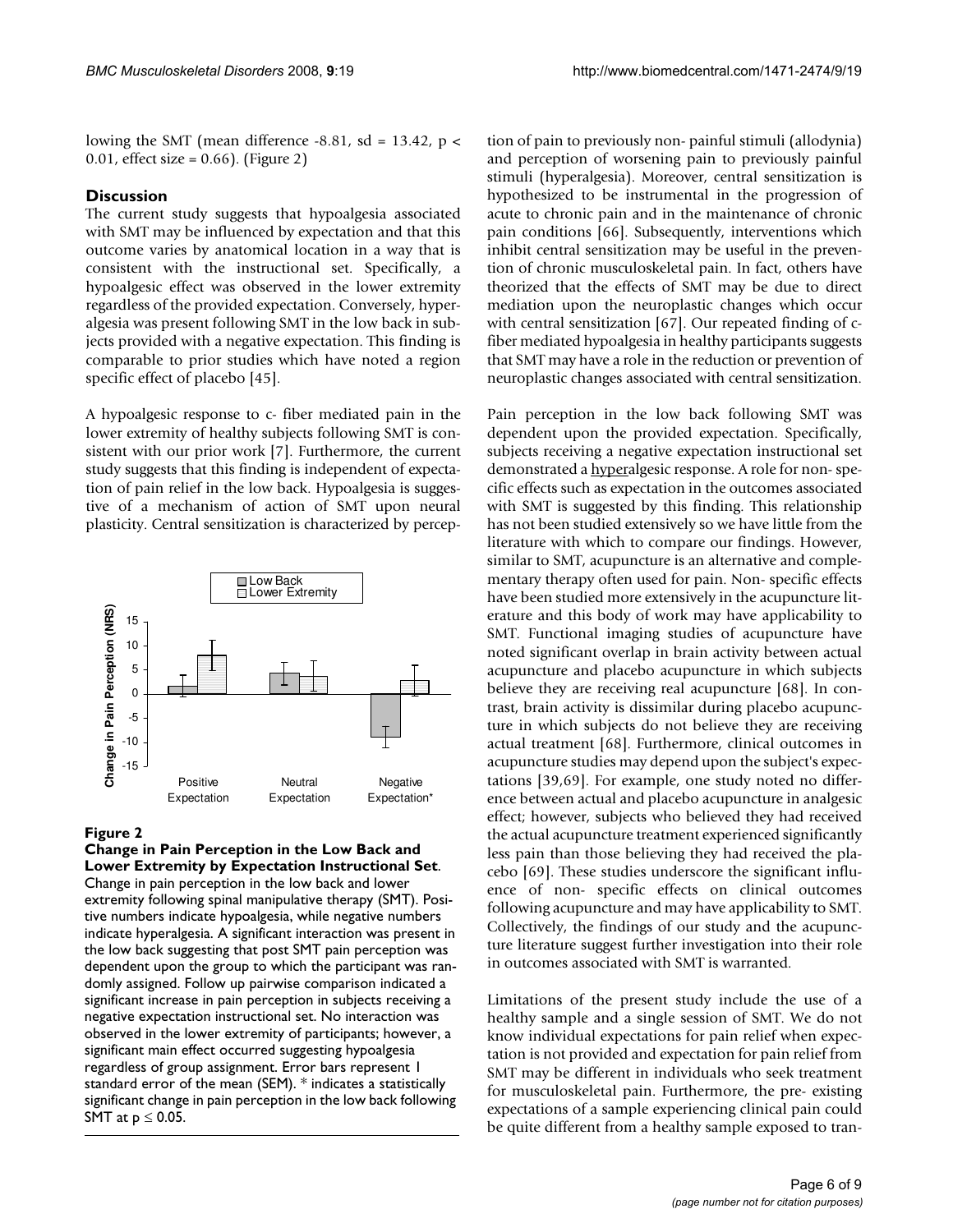lowing the SMT (mean difference -8.81, sd = 13.42,  $p \lt \theta$ 0.01, effect size = 0.66). (Figure 2)

#### **Discussion**

The current study suggests that hypoalgesia associated with SMT may be influenced by expectation and that this outcome varies by anatomical location in a way that is consistent with the instructional set. Specifically, a hypoalgesic effect was observed in the lower extremity regardless of the provided expectation. Conversely, hyperalgesia was present following SMT in the low back in subjects provided with a negative expectation. This finding is comparable to prior studies which have noted a region specific effect of placebo [45].

A hypoalgesic response to c- fiber mediated pain in the lower extremity of healthy subjects following SMT is consistent with our prior work [7]. Furthermore, the current study suggests that this finding is independent of expectation of pain relief in the low back. Hypoalgesia is suggestive of a mechanism of action of SMT upon neural plasticity. Central sensitization is characterized by percep-



#### Figure 2

**Change in Pain Perception in the Low Back and Lower Extremity by Expectation Instructional Set**. Change in pain perception in the low back and lower extremity following spinal manipulative therapy (SMT). Positive numbers indicate hypoalgesia, while negative numbers indicate hyperalgesia. A significant interaction was present in the low back suggesting that post SMT pain perception was dependent upon the group to which the participant was randomly assigned. Follow up pairwise comparison indicated a significant increase in pain perception in subjects receiving a negative expectation instructional set. No interaction was observed in the lower extremity of participants; however, a significant main effect occurred suggesting hypoalgesia regardless of group assignment. Error bars represent 1 standard error of the mean (SEM). \* indicates a statistically significant change in pain perception in the low back following SMT at  $p \leq 0.05$ .

tion of pain to previously non- painful stimuli (allodynia) and perception of worsening pain to previously painful stimuli (hyperalgesia). Moreover, central sensitization is hypothesized to be instrumental in the progression of acute to chronic pain and in the maintenance of chronic pain conditions [66]. Subsequently, interventions which inhibit central sensitization may be useful in the prevention of chronic musculoskeletal pain. In fact, others have theorized that the effects of SMT may be due to direct mediation upon the neuroplastic changes which occur with central sensitization [67]. Our repeated finding of cfiber mediated hypoalgesia in healthy participants suggests that SMT may have a role in the reduction or prevention of neuroplastic changes associated with central sensitization.

Pain perception in the low back following SMT was dependent upon the provided expectation. Specifically, subjects receiving a negative expectation instructional set demonstrated a hyperalgesic response. A role for non- specific effects such as expectation in the outcomes associated with SMT is suggested by this finding. This relationship has not been studied extensively so we have little from the literature with which to compare our findings. However, similar to SMT, acupuncture is an alternative and complementary therapy often used for pain. Non- specific effects have been studied more extensively in the acupuncture literature and this body of work may have applicability to SMT. Functional imaging studies of acupuncture have noted significant overlap in brain activity between actual acupuncture and placebo acupuncture in which subjects believe they are receiving real acupuncture [68]. In contrast, brain activity is dissimilar during placebo acupuncture in which subjects do not believe they are receiving actual treatment [68]. Furthermore, clinical outcomes in acupuncture studies may depend upon the subject's expectations [39,69]. For example, one study noted no difference between actual and placebo acupuncture in analgesic effect; however, subjects who believed they had received the actual acupuncture treatment experienced significantly less pain than those believing they had received the placebo [69]. These studies underscore the significant influence of non- specific effects on clinical outcomes following acupuncture and may have applicability to SMT. Collectively, the findings of our study and the acupuncture literature suggest further investigation into their role in outcomes associated with SMT is warranted.

Limitations of the present study include the use of a healthy sample and a single session of SMT. We do not know individual expectations for pain relief when expectation is not provided and expectation for pain relief from SMT may be different in individuals who seek treatment for musculoskeletal pain. Furthermore, the pre- existing expectations of a sample experiencing clinical pain could be quite different from a healthy sample exposed to tran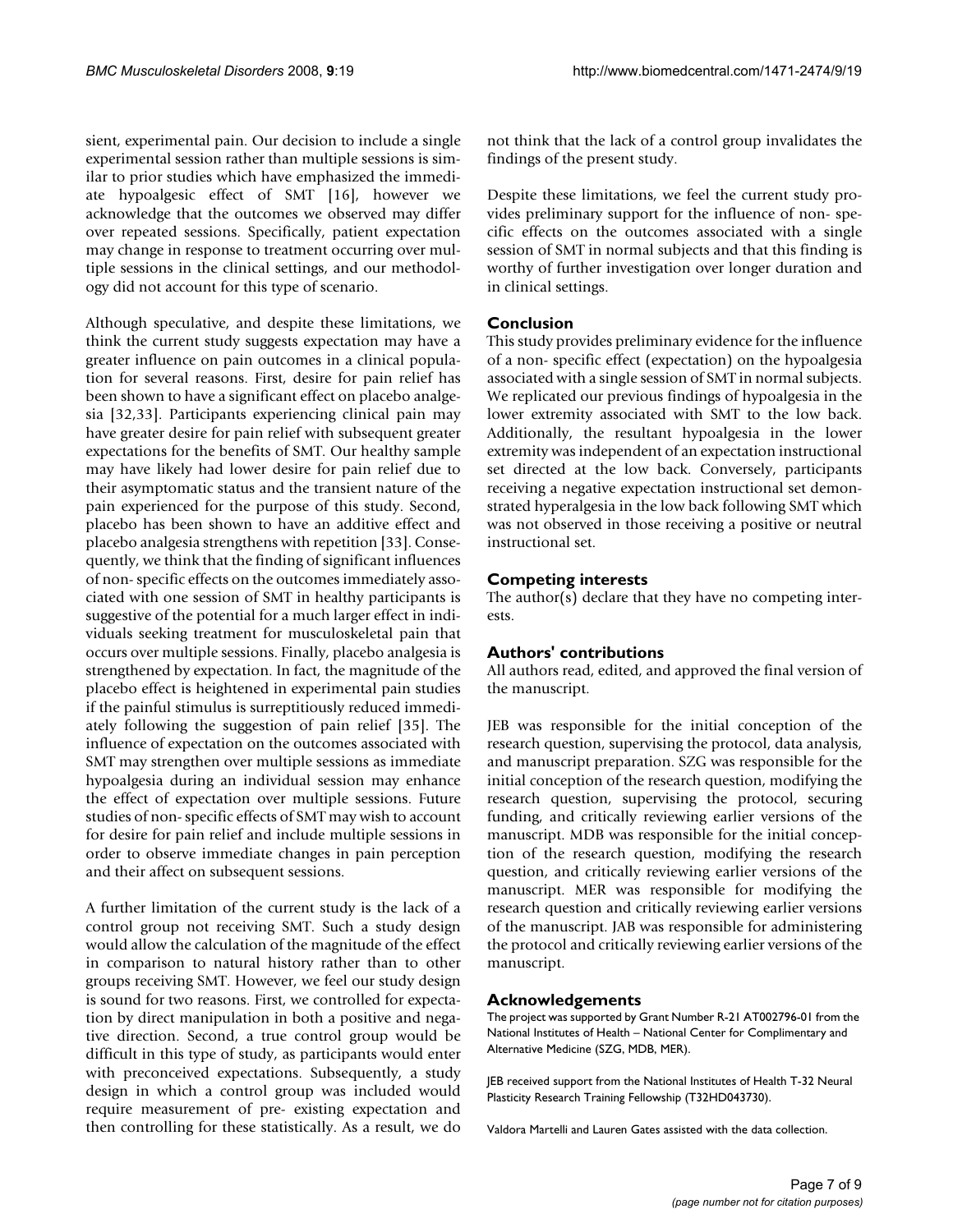sient, experimental pain. Our decision to include a single experimental session rather than multiple sessions is similar to prior studies which have emphasized the immediate hypoalgesic effect of SMT [16], however we acknowledge that the outcomes we observed may differ over repeated sessions. Specifically, patient expectation may change in response to treatment occurring over multiple sessions in the clinical settings, and our methodology did not account for this type of scenario.

Although speculative, and despite these limitations, we think the current study suggests expectation may have a greater influence on pain outcomes in a clinical population for several reasons. First, desire for pain relief has been shown to have a significant effect on placebo analgesia [32,33]. Participants experiencing clinical pain may have greater desire for pain relief with subsequent greater expectations for the benefits of SMT. Our healthy sample may have likely had lower desire for pain relief due to their asymptomatic status and the transient nature of the pain experienced for the purpose of this study. Second, placebo has been shown to have an additive effect and placebo analgesia strengthens with repetition [33]. Consequently, we think that the finding of significant influences of non- specific effects on the outcomes immediately associated with one session of SMT in healthy participants is suggestive of the potential for a much larger effect in individuals seeking treatment for musculoskeletal pain that occurs over multiple sessions. Finally, placebo analgesia is strengthened by expectation. In fact, the magnitude of the placebo effect is heightened in experimental pain studies if the painful stimulus is surreptitiously reduced immediately following the suggestion of pain relief [35]. The influence of expectation on the outcomes associated with SMT may strengthen over multiple sessions as immediate hypoalgesia during an individual session may enhance the effect of expectation over multiple sessions. Future studies of non- specific effects of SMT may wish to account for desire for pain relief and include multiple sessions in order to observe immediate changes in pain perception and their affect on subsequent sessions.

A further limitation of the current study is the lack of a control group not receiving SMT. Such a study design would allow the calculation of the magnitude of the effect in comparison to natural history rather than to other groups receiving SMT. However, we feel our study design is sound for two reasons. First, we controlled for expectation by direct manipulation in both a positive and negative direction. Second, a true control group would be difficult in this type of study, as participants would enter with preconceived expectations. Subsequently, a study design in which a control group was included would require measurement of pre- existing expectation and then controlling for these statistically. As a result, we do

not think that the lack of a control group invalidates the findings of the present study.

Despite these limitations, we feel the current study provides preliminary support for the influence of non- specific effects on the outcomes associated with a single session of SMT in normal subjects and that this finding is worthy of further investigation over longer duration and in clinical settings.

#### **Conclusion**

This study provides preliminary evidence for the influence of a non- specific effect (expectation) on the hypoalgesia associated with a single session of SMT in normal subjects. We replicated our previous findings of hypoalgesia in the lower extremity associated with SMT to the low back. Additionally, the resultant hypoalgesia in the lower extremity was independent of an expectation instructional set directed at the low back. Conversely, participants receiving a negative expectation instructional set demonstrated hyperalgesia in the low back following SMT which was not observed in those receiving a positive or neutral instructional set.

### **Competing interests**

The author(s) declare that they have no competing interests.

#### **Authors' contributions**

All authors read, edited, and approved the final version of the manuscript.

JEB was responsible for the initial conception of the research question, supervising the protocol, data analysis, and manuscript preparation. SZG was responsible for the initial conception of the research question, modifying the research question, supervising the protocol, securing funding, and critically reviewing earlier versions of the manuscript. MDB was responsible for the initial conception of the research question, modifying the research question, and critically reviewing earlier versions of the manuscript. MER was responsible for modifying the research question and critically reviewing earlier versions of the manuscript. JAB was responsible for administering the protocol and critically reviewing earlier versions of the manuscript.

#### **Acknowledgements**

The project was supported by Grant Number R-21 AT002796-01 from the National Institutes of Health – National Center for Complimentary and Alternative Medicine (SZG, MDB, MER).

JEB received support from the National Institutes of Health T-32 Neural Plasticity Research Training Fellowship (T32HD043730).

Valdora Martelli and Lauren Gates assisted with the data collection.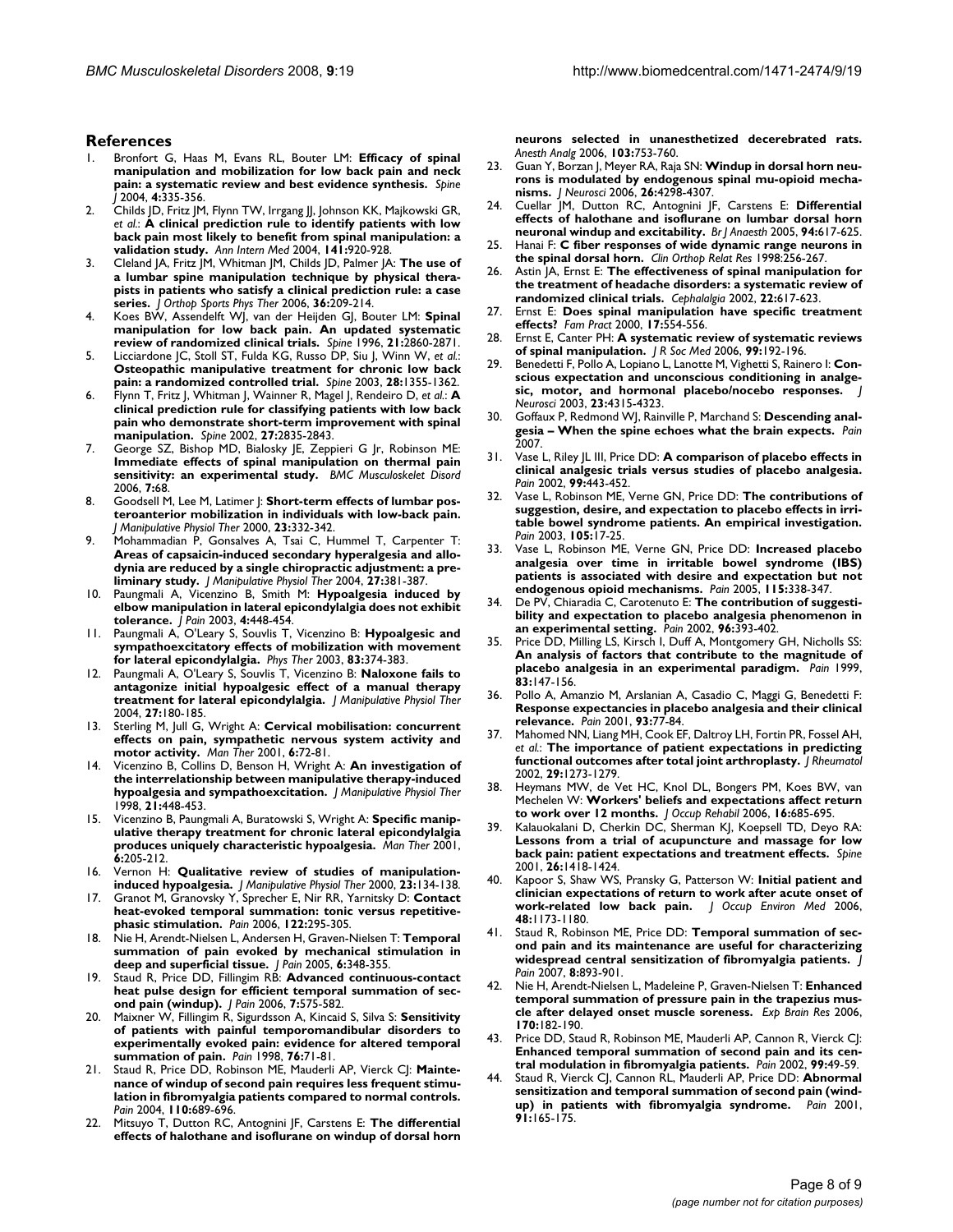#### **References**

- 1. Bronfort G, Haas M, Evans RL, Bouter LM: **[Efficacy of spinal](http://www.ncbi.nlm.nih.gov/entrez/query.fcgi?cmd=Retrieve&db=PubMed&dopt=Abstract&list_uids=15125860) [manipulation and mobilization for low back pain and neck](http://www.ncbi.nlm.nih.gov/entrez/query.fcgi?cmd=Retrieve&db=PubMed&dopt=Abstract&list_uids=15125860) [pain: a systematic review and best evidence synthesis.](http://www.ncbi.nlm.nih.gov/entrez/query.fcgi?cmd=Retrieve&db=PubMed&dopt=Abstract&list_uids=15125860)** *Spine J* 2004, **4:**335-356.
- 2. Childs JD, Fritz JM, Flynn TW, Irrgang JJ, Johnson KK, Majkowski GR, *et al.*: **[A clinical prediction rule to identify patients with low](http://www.ncbi.nlm.nih.gov/entrez/query.fcgi?cmd=Retrieve&db=PubMed&dopt=Abstract&list_uids=15611489) [back pain most likely to benefit from spinal manipulation: a](http://www.ncbi.nlm.nih.gov/entrez/query.fcgi?cmd=Retrieve&db=PubMed&dopt=Abstract&list_uids=15611489) [validation study.](http://www.ncbi.nlm.nih.gov/entrez/query.fcgi?cmd=Retrieve&db=PubMed&dopt=Abstract&list_uids=15611489)** *Ann Intern Med* 2004, **141:**920-928.
- 3. Cleland JA, Fritz JM, Whitman JM, Childs JD, Palmer JA: **[The use of](http://www.ncbi.nlm.nih.gov/entrez/query.fcgi?cmd=Retrieve&db=PubMed&dopt=Abstract&list_uids=16676870) [a lumbar spine manipulation technique by physical thera](http://www.ncbi.nlm.nih.gov/entrez/query.fcgi?cmd=Retrieve&db=PubMed&dopt=Abstract&list_uids=16676870)pists in patients who satisfy a clinical prediction rule: a case [series.](http://www.ncbi.nlm.nih.gov/entrez/query.fcgi?cmd=Retrieve&db=PubMed&dopt=Abstract&list_uids=16676870)** *J Orthop Sports Phys Ther* 2006, **36:**209-214.
- 4. Koes BW, Assendelft WJ, van der Heijden GJ, Bouter LM: **[Spinal](http://www.ncbi.nlm.nih.gov/entrez/query.fcgi?cmd=Retrieve&db=PubMed&dopt=Abstract&list_uids=9112710) [manipulation for low back pain. An updated systematic](http://www.ncbi.nlm.nih.gov/entrez/query.fcgi?cmd=Retrieve&db=PubMed&dopt=Abstract&list_uids=9112710) [review of randomized clinical trials.](http://www.ncbi.nlm.nih.gov/entrez/query.fcgi?cmd=Retrieve&db=PubMed&dopt=Abstract&list_uids=9112710)** *Spine* 1996, **21:**2860-2871.
- 5. Licciardone JC, Stoll ST, Fulda KG, Russo DP, Siu J, Winn W, *et al.*: **[Osteopathic manipulative treatment for chronic low back](http://www.ncbi.nlm.nih.gov/entrez/query.fcgi?cmd=Retrieve&db=PubMed&dopt=Abstract&list_uids=12838090) [pain: a randomized controlled trial.](http://www.ncbi.nlm.nih.gov/entrez/query.fcgi?cmd=Retrieve&db=PubMed&dopt=Abstract&list_uids=12838090)** *Spine* 2003, **28:**1355-1362.
- 6. Flynn T, Fritz J, Whitman J, Wainner R, Magel J, Rendeiro D, *et al.*: **[A](http://www.ncbi.nlm.nih.gov/entrez/query.fcgi?cmd=Retrieve&db=PubMed&dopt=Abstract&list_uids=12486357) [clinical prediction rule for classifying patients with low back](http://www.ncbi.nlm.nih.gov/entrez/query.fcgi?cmd=Retrieve&db=PubMed&dopt=Abstract&list_uids=12486357) pain who demonstrate short-term improvement with spinal [manipulation.](http://www.ncbi.nlm.nih.gov/entrez/query.fcgi?cmd=Retrieve&db=PubMed&dopt=Abstract&list_uids=12486357)** *Spine* 2002, **27:**2835-2843.
- 7. George SZ, Bishop MD, Bialosky JE, Zeppieri G Jr, Robinson ME: **[Immediate effects of spinal manipulation on thermal pain](http://www.ncbi.nlm.nih.gov/entrez/query.fcgi?cmd=Retrieve&db=PubMed&dopt=Abstract&list_uids=16911795) [sensitivity: an experimental study.](http://www.ncbi.nlm.nih.gov/entrez/query.fcgi?cmd=Retrieve&db=PubMed&dopt=Abstract&list_uids=16911795)** *BMC Musculoskelet Disord* 2006, **7:**68.
- 8. Goodsell M, Lee M, Latimer J: **[Short-term effects of lumbar pos](http://www.ncbi.nlm.nih.gov/entrez/query.fcgi?cmd=Retrieve&db=PubMed&dopt=Abstract&list_uids=10863253)[teroanterior mobilization in individuals with low-back pain.](http://www.ncbi.nlm.nih.gov/entrez/query.fcgi?cmd=Retrieve&db=PubMed&dopt=Abstract&list_uids=10863253)** *J Manipulative Physiol Ther* 2000, **23:**332-342.
- 9. Mohammadian P, Gonsalves A, Tsai C, Hummel T, Carpenter T: **[Areas of capsaicin-induced secondary hyperalgesia and allo](http://www.ncbi.nlm.nih.gov/entrez/query.fcgi?cmd=Retrieve&db=PubMed&dopt=Abstract&list_uids=15319760)dynia are reduced by a single chiropractic adjustment: a pre[liminary study.](http://www.ncbi.nlm.nih.gov/entrez/query.fcgi?cmd=Retrieve&db=PubMed&dopt=Abstract&list_uids=15319760)** *J Manipulative Physiol Ther* 2004, **27:**381-387.
- 10. Paungmali A, Vicenzino B, Smith M: **[Hypoalgesia induced by](http://www.ncbi.nlm.nih.gov/entrez/query.fcgi?cmd=Retrieve&db=PubMed&dopt=Abstract&list_uids=14622665) [elbow manipulation in lateral epicondylalgia does not exhibit](http://www.ncbi.nlm.nih.gov/entrez/query.fcgi?cmd=Retrieve&db=PubMed&dopt=Abstract&list_uids=14622665) [tolerance.](http://www.ncbi.nlm.nih.gov/entrez/query.fcgi?cmd=Retrieve&db=PubMed&dopt=Abstract&list_uids=14622665)** *J Pain* 2003, **4:**448-454.
- 11. Paungmali A, O'Leary S, Souvlis T, Vicenzino B: **[Hypoalgesic and](http://www.ncbi.nlm.nih.gov/entrez/query.fcgi?cmd=Retrieve&db=PubMed&dopt=Abstract&list_uids=12665408) [sympathoexcitatory effects of mobilization with movement](http://www.ncbi.nlm.nih.gov/entrez/query.fcgi?cmd=Retrieve&db=PubMed&dopt=Abstract&list_uids=12665408) [for lateral epicondylalgia.](http://www.ncbi.nlm.nih.gov/entrez/query.fcgi?cmd=Retrieve&db=PubMed&dopt=Abstract&list_uids=12665408)** *Phys Ther* 2003, **83:**374-383.
- 12. Paungmali A, O'Leary S, Souvlis T, Vicenzino B: **[Naloxone fails to](http://www.ncbi.nlm.nih.gov/entrez/query.fcgi?cmd=Retrieve&db=PubMed&dopt=Abstract&list_uids=15129200) [antagonize initial hypoalgesic effect of a manual therapy](http://www.ncbi.nlm.nih.gov/entrez/query.fcgi?cmd=Retrieve&db=PubMed&dopt=Abstract&list_uids=15129200) [treatment for lateral epicondylalgia.](http://www.ncbi.nlm.nih.gov/entrez/query.fcgi?cmd=Retrieve&db=PubMed&dopt=Abstract&list_uids=15129200)** *J Manipulative Physiol Ther* 2004, **27:**180-185.
- 13. Sterling M, Jull G, Wright A: **[Cervical mobilisation: concurrent](http://www.ncbi.nlm.nih.gov/entrez/query.fcgi?cmd=Retrieve&db=PubMed&dopt=Abstract&list_uids=11414776) [effects on pain, sympathetic nervous system activity and](http://www.ncbi.nlm.nih.gov/entrez/query.fcgi?cmd=Retrieve&db=PubMed&dopt=Abstract&list_uids=11414776) [motor activity.](http://www.ncbi.nlm.nih.gov/entrez/query.fcgi?cmd=Retrieve&db=PubMed&dopt=Abstract&list_uids=11414776)** *Man Ther* 2001, **6:**72-81.
- 14. Vicenzino B, Collins D, Benson H, Wright A: **[An investigation of](http://www.ncbi.nlm.nih.gov/entrez/query.fcgi?cmd=Retrieve&db=PubMed&dopt=Abstract&list_uids=9777544) [the interrelationship between manipulative therapy-induced](http://www.ncbi.nlm.nih.gov/entrez/query.fcgi?cmd=Retrieve&db=PubMed&dopt=Abstract&list_uids=9777544) [hypoalgesia and sympathoexcitation.](http://www.ncbi.nlm.nih.gov/entrez/query.fcgi?cmd=Retrieve&db=PubMed&dopt=Abstract&list_uids=9777544)** *J Manipulative Physiol Ther* 1998, **21:**448-453.
- 15. Vicenzino B, Paungmali A, Buratowski S, Wright A: **[Specific manip](http://www.ncbi.nlm.nih.gov/entrez/query.fcgi?cmd=Retrieve&db=PubMed&dopt=Abstract&list_uids=11673930)[ulative therapy treatment for chronic lateral epicondylalgia](http://www.ncbi.nlm.nih.gov/entrez/query.fcgi?cmd=Retrieve&db=PubMed&dopt=Abstract&list_uids=11673930) [produces uniquely characteristic hypoalgesia.](http://www.ncbi.nlm.nih.gov/entrez/query.fcgi?cmd=Retrieve&db=PubMed&dopt=Abstract&list_uids=11673930)** *Man Ther* 2001, **6:**205-212.
- 16. Vernon H: **[Qualitative review of studies of manipulation](http://www.ncbi.nlm.nih.gov/entrez/query.fcgi?cmd=Retrieve&db=PubMed&dopt=Abstract&list_uids=10714544)[induced hypoalgesia.](http://www.ncbi.nlm.nih.gov/entrez/query.fcgi?cmd=Retrieve&db=PubMed&dopt=Abstract&list_uids=10714544)** *J Manipulative Physiol Ther* 2000, **23:**134-138.
- 17. Granot M, Granovsky Y, Sprecher E, Nir RR, Yarnitsky D: **[Contact](http://www.ncbi.nlm.nih.gov/entrez/query.fcgi?cmd=Retrieve&db=PubMed&dopt=Abstract&list_uids=16540248) [heat-evoked temporal summation: tonic versus repetitive](http://www.ncbi.nlm.nih.gov/entrez/query.fcgi?cmd=Retrieve&db=PubMed&dopt=Abstract&list_uids=16540248)[phasic stimulation.](http://www.ncbi.nlm.nih.gov/entrez/query.fcgi?cmd=Retrieve&db=PubMed&dopt=Abstract&list_uids=16540248)** *Pain* 2006, **122:**295-305.
- 18. Nie H, Arendt-Nielsen L, Andersen H, Graven-Nielsen T: **[Temporal](http://www.ncbi.nlm.nih.gov/entrez/query.fcgi?cmd=Retrieve&db=PubMed&dopt=Abstract&list_uids=15943956) [summation of pain evoked by mechanical stimulation in](http://www.ncbi.nlm.nih.gov/entrez/query.fcgi?cmd=Retrieve&db=PubMed&dopt=Abstract&list_uids=15943956) [deep and superficial tissue.](http://www.ncbi.nlm.nih.gov/entrez/query.fcgi?cmd=Retrieve&db=PubMed&dopt=Abstract&list_uids=15943956)** *J Pain* 2005, **6:**348-355.
- 19. Staud R, Price DD, Fillingim RB: **[Advanced continuous-contact](http://www.ncbi.nlm.nih.gov/entrez/query.fcgi?cmd=Retrieve&db=PubMed&dopt=Abstract&list_uids=16885014) [heat pulse design for efficient temporal summation of sec](http://www.ncbi.nlm.nih.gov/entrez/query.fcgi?cmd=Retrieve&db=PubMed&dopt=Abstract&list_uids=16885014)[ond pain \(windup\).](http://www.ncbi.nlm.nih.gov/entrez/query.fcgi?cmd=Retrieve&db=PubMed&dopt=Abstract&list_uids=16885014)** *J Pain* 2006, **7:**575-582.
- 20. Maixner W, Fillingim R, Sigurdsson A, Kincaid S, Silva S: **[Sensitivity](http://www.ncbi.nlm.nih.gov/entrez/query.fcgi?cmd=Retrieve&db=PubMed&dopt=Abstract&list_uids=9696460) [of patients with painful temporomandibular disorders to](http://www.ncbi.nlm.nih.gov/entrez/query.fcgi?cmd=Retrieve&db=PubMed&dopt=Abstract&list_uids=9696460) experimentally evoked pain: evidence for altered temporal [summation of pain.](http://www.ncbi.nlm.nih.gov/entrez/query.fcgi?cmd=Retrieve&db=PubMed&dopt=Abstract&list_uids=9696460)** *Pain* 1998, **76:**71-81.
- 21. Staud R, Price DD, Robinson ME, Mauderli AP, Vierck CJ: **[Mainte](http://www.ncbi.nlm.nih.gov/entrez/query.fcgi?cmd=Retrieve&db=PubMed&dopt=Abstract&list_uids=15288410)[nance of windup of second pain requires less frequent stimu](http://www.ncbi.nlm.nih.gov/entrez/query.fcgi?cmd=Retrieve&db=PubMed&dopt=Abstract&list_uids=15288410)lation in fibromyalgia patients compared to normal controls.** *Pain* 2004, **110:**689-696.
- 22. Mitsuyo T, Dutton RC, Antognini JF, Carstens E: **[The differential](http://www.ncbi.nlm.nih.gov/entrez/query.fcgi?cmd=Retrieve&db=PubMed&dopt=Abstract&list_uids=16931692) [effects of halothane and isoflurane on windup of dorsal horn](http://www.ncbi.nlm.nih.gov/entrez/query.fcgi?cmd=Retrieve&db=PubMed&dopt=Abstract&list_uids=16931692)**

**[neurons selected in unanesthetized decerebrated rats.](http://www.ncbi.nlm.nih.gov/entrez/query.fcgi?cmd=Retrieve&db=PubMed&dopt=Abstract&list_uids=16931692)** *Anesth Analg* 2006, **103:**753-760.

- 23. Guan Y, Borzan J, Meyer RA, Raja SN: **[Windup in dorsal horn neu](http://www.ncbi.nlm.nih.gov/entrez/query.fcgi?cmd=Retrieve&db=PubMed&dopt=Abstract&list_uids=16624950)[rons is modulated by endogenous spinal mu-opioid mecha](http://www.ncbi.nlm.nih.gov/entrez/query.fcgi?cmd=Retrieve&db=PubMed&dopt=Abstract&list_uids=16624950)[nisms.](http://www.ncbi.nlm.nih.gov/entrez/query.fcgi?cmd=Retrieve&db=PubMed&dopt=Abstract&list_uids=16624950)** *J Neurosci* 2006, **26:**4298-4307.
- 24. Cuellar JM, Dutton RC, Antognini JF, Carstens E: **[Differential](http://www.ncbi.nlm.nih.gov/entrez/query.fcgi?cmd=Retrieve&db=PubMed&dopt=Abstract&list_uids=15734781) [effects of halothane and isoflurane on lumbar dorsal horn](http://www.ncbi.nlm.nih.gov/entrez/query.fcgi?cmd=Retrieve&db=PubMed&dopt=Abstract&list_uids=15734781) [neuronal windup and excitability.](http://www.ncbi.nlm.nih.gov/entrez/query.fcgi?cmd=Retrieve&db=PubMed&dopt=Abstract&list_uids=15734781)** *Br J Anaesth* 2005, **94:**617-625.
- 25. Hanai F: **[C fiber responses of wide dynamic range neurons in](http://www.ncbi.nlm.nih.gov/entrez/query.fcgi?cmd=Retrieve&db=PubMed&dopt=Abstract&list_uids=9584391) [the spinal dorsal horn.](http://www.ncbi.nlm.nih.gov/entrez/query.fcgi?cmd=Retrieve&db=PubMed&dopt=Abstract&list_uids=9584391)** *Clin Orthop Relat Res* 1998:256-267.
- 26. Astin JA, Ernst E: **[The effectiveness of spinal manipulation for](http://www.ncbi.nlm.nih.gov/entrez/query.fcgi?cmd=Retrieve&db=PubMed&dopt=Abstract&list_uids=12383058) [the treatment of headache disorders: a systematic review of](http://www.ncbi.nlm.nih.gov/entrez/query.fcgi?cmd=Retrieve&db=PubMed&dopt=Abstract&list_uids=12383058) [randomized clinical trials.](http://www.ncbi.nlm.nih.gov/entrez/query.fcgi?cmd=Retrieve&db=PubMed&dopt=Abstract&list_uids=12383058)** *Cephalalgia* 2002, **22:**617-623.
- 27. Ernst E: **[Does spinal manipulation have specific treatment](http://www.ncbi.nlm.nih.gov/entrez/query.fcgi?cmd=Retrieve&db=PubMed&dopt=Abstract&list_uids=11120730) [effects?](http://www.ncbi.nlm.nih.gov/entrez/query.fcgi?cmd=Retrieve&db=PubMed&dopt=Abstract&list_uids=11120730)** *Fam Pract* 2000, **17:**554-556.
- 28. Ernst E, Canter PH: **[A systematic review of systematic reviews](http://www.ncbi.nlm.nih.gov/entrez/query.fcgi?cmd=Retrieve&db=PubMed&dopt=Abstract&list_uids=16574972) [of spinal manipulation.](http://www.ncbi.nlm.nih.gov/entrez/query.fcgi?cmd=Retrieve&db=PubMed&dopt=Abstract&list_uids=16574972)** *J R Soc Med* 2006, **99:**192-196.
- 29. Benedetti F, Pollo A, Lopiano L, Lanotte M, Vighetti S, Rainero I: **[Con](http://www.ncbi.nlm.nih.gov/entrez/query.fcgi?cmd=Retrieve&db=PubMed&dopt=Abstract&list_uids=12764120)[scious expectation and unconscious conditioning in analge](http://www.ncbi.nlm.nih.gov/entrez/query.fcgi?cmd=Retrieve&db=PubMed&dopt=Abstract&list_uids=12764120)**[sic, motor, and hormonal placebo/nocebo responses.](http://www.ncbi.nlm.nih.gov/entrez/query.fcgi?cmd=Retrieve&db=PubMed&dopt=Abstract&list_uids=12764120) *Neurosci* 2003, **23:**4315-4323.
- 30. Goffaux P, Redmond WJ, Rainville P, Marchand S: **[Descending anal](http://www.ncbi.nlm.nih.gov/entrez/query.fcgi?cmd=Retrieve&db=PubMed&dopt=Abstract&list_uids=17215080)[gesia – When the spine echoes what the brain expects.](http://www.ncbi.nlm.nih.gov/entrez/query.fcgi?cmd=Retrieve&db=PubMed&dopt=Abstract&list_uids=17215080)** *Pain* 2007.
- 31. Vase L, Riley JL III, Price DD: **[A comparison of placebo effects in](http://www.ncbi.nlm.nih.gov/entrez/query.fcgi?cmd=Retrieve&db=PubMed&dopt=Abstract&list_uids=12406519) [clinical analgesic trials versus studies of placebo analgesia.](http://www.ncbi.nlm.nih.gov/entrez/query.fcgi?cmd=Retrieve&db=PubMed&dopt=Abstract&list_uids=12406519)** *Pain* 2002, **99:**443-452.
- 32. Vase L, Robinson ME, Verne GN, Price DD: **[The contributions of](http://www.ncbi.nlm.nih.gov/entrez/query.fcgi?cmd=Retrieve&db=PubMed&dopt=Abstract&list_uids=14499416) [suggestion, desire, and expectation to placebo effects in irri](http://www.ncbi.nlm.nih.gov/entrez/query.fcgi?cmd=Retrieve&db=PubMed&dopt=Abstract&list_uids=14499416)table bowel syndrome patients. An empirical investigation.** *Pain* 2003, **105:**17-25.
- 33. Vase L, Robinson ME, Verne GN, Price DD: **[Increased placebo](http://www.ncbi.nlm.nih.gov/entrez/query.fcgi?cmd=Retrieve&db=PubMed&dopt=Abstract&list_uids=15911161) [analgesia over time in irritable bowel syndrome \(IBS\)](http://www.ncbi.nlm.nih.gov/entrez/query.fcgi?cmd=Retrieve&db=PubMed&dopt=Abstract&list_uids=15911161) patients is associated with desire and expectation but not [endogenous opioid mechanisms.](http://www.ncbi.nlm.nih.gov/entrez/query.fcgi?cmd=Retrieve&db=PubMed&dopt=Abstract&list_uids=15911161)** *Pain* 2005, **115:**338-347.
- 34. De PV, Chiaradia C, Carotenuto E: **[The contribution of suggesti](http://www.ncbi.nlm.nih.gov/entrez/query.fcgi?cmd=Retrieve&db=PubMed&dopt=Abstract&list_uids=11973014)[bility and expectation to placebo analgesia phenomenon in](http://www.ncbi.nlm.nih.gov/entrez/query.fcgi?cmd=Retrieve&db=PubMed&dopt=Abstract&list_uids=11973014) [an experimental setting.](http://www.ncbi.nlm.nih.gov/entrez/query.fcgi?cmd=Retrieve&db=PubMed&dopt=Abstract&list_uids=11973014)** *Pain* 2002, **96:**393-402.
- 35. Price DD, Milling LS, Kirsch I, Duff A, Montgomery GH, Nicholls SS: **[An analysis of factors that contribute to the magnitude of](http://www.ncbi.nlm.nih.gov/entrez/query.fcgi?cmd=Retrieve&db=PubMed&dopt=Abstract&list_uids=10534585) [placebo analgesia in an experimental paradigm.](http://www.ncbi.nlm.nih.gov/entrez/query.fcgi?cmd=Retrieve&db=PubMed&dopt=Abstract&list_uids=10534585)** *Pain* 1999, **83:**147-156.
- 36. Pollo A, Amanzio M, Arslanian A, Casadio C, Maggi G, Benedetti F: **[Response expectancies in placebo analgesia and their clinical](http://www.ncbi.nlm.nih.gov/entrez/query.fcgi?cmd=Retrieve&db=PubMed&dopt=Abstract&list_uids=11406341) [relevance.](http://www.ncbi.nlm.nih.gov/entrez/query.fcgi?cmd=Retrieve&db=PubMed&dopt=Abstract&list_uids=11406341)** *Pain* 2001, **93:**77-84.
- 37. Mahomed NN, Liang MH, Cook EF, Daltroy LH, Fortin PR, Fossel AH, *et al.*: **[The importance of patient expectations in predicting](http://www.ncbi.nlm.nih.gov/entrez/query.fcgi?cmd=Retrieve&db=PubMed&dopt=Abstract&list_uids=12064846) [functional outcomes after total joint arthroplasty.](http://www.ncbi.nlm.nih.gov/entrez/query.fcgi?cmd=Retrieve&db=PubMed&dopt=Abstract&list_uids=12064846)** *J Rheumatol* 2002, **29:**1273-1279.
- 38. Heymans MW, de Vet HC, Knol DL, Bongers PM, Koes BW, van Mechelen W: **[Workers' beliefs and expectations affect return](http://www.ncbi.nlm.nih.gov/entrez/query.fcgi?cmd=Retrieve&db=PubMed&dopt=Abstract&list_uids=17063403) [to work over 12 months.](http://www.ncbi.nlm.nih.gov/entrez/query.fcgi?cmd=Retrieve&db=PubMed&dopt=Abstract&list_uids=17063403)** *J Occup Rehabil* 2006, **16:**685-695.
- 39. Kalauokalani D, Cherkin DC, Sherman KJ, Koepsell TD, Deyo RA: **[Lessons from a trial of acupuncture and massage for low](http://www.ncbi.nlm.nih.gov/entrez/query.fcgi?cmd=Retrieve&db=PubMed&dopt=Abstract&list_uids=11458142) [back pain: patient expectations and treatment effects.](http://www.ncbi.nlm.nih.gov/entrez/query.fcgi?cmd=Retrieve&db=PubMed&dopt=Abstract&list_uids=11458142)** *Spine* 2001, **26:**1418-1424.
- 40. Kapoor S, Shaw WS, Pransky G, Patterson W: **[Initial patient and](http://www.ncbi.nlm.nih.gov/entrez/query.fcgi?cmd=Retrieve&db=PubMed&dopt=Abstract&list_uids=17099454) [clinician expectations of return to work after acute onset of](http://www.ncbi.nlm.nih.gov/entrez/query.fcgi?cmd=Retrieve&db=PubMed&dopt=Abstract&list_uids=17099454) [work-related low back pain.](http://www.ncbi.nlm.nih.gov/entrez/query.fcgi?cmd=Retrieve&db=PubMed&dopt=Abstract&list_uids=17099454)** *J Occup Environ Med* 2006, **48:**1173-1180.
- 41. Staud R, Robinson ME, Price DD: **[Temporal summation of sec](http://www.ncbi.nlm.nih.gov/entrez/query.fcgi?cmd=Retrieve&db=PubMed&dopt=Abstract&list_uids=17681887)[ond pain and its maintenance are useful for characterizing](http://www.ncbi.nlm.nih.gov/entrez/query.fcgi?cmd=Retrieve&db=PubMed&dopt=Abstract&list_uids=17681887) [widespread central sensitization of fibromyalgia patients.](http://www.ncbi.nlm.nih.gov/entrez/query.fcgi?cmd=Retrieve&db=PubMed&dopt=Abstract&list_uids=17681887)** *J Pain* 2007, **8:**893-901.
- 42. Nie H, Arendt-Nielsen L, Madeleine P, Graven-Nielsen T: **[Enhanced](http://www.ncbi.nlm.nih.gov/entrez/query.fcgi?cmd=Retrieve&db=PubMed&dopt=Abstract&list_uids=16328284) [temporal summation of pressure pain in the trapezius mus](http://www.ncbi.nlm.nih.gov/entrez/query.fcgi?cmd=Retrieve&db=PubMed&dopt=Abstract&list_uids=16328284)[cle after delayed onset muscle soreness.](http://www.ncbi.nlm.nih.gov/entrez/query.fcgi?cmd=Retrieve&db=PubMed&dopt=Abstract&list_uids=16328284)** *Exp Brain Res* 2006, **170:**182-190.
- 43. Price DD, Staud R, Robinson ME, Mauderli AP, Cannon R, Vierck C|: **[Enhanced temporal summation of second pain and its cen](http://www.ncbi.nlm.nih.gov/entrez/query.fcgi?cmd=Retrieve&db=PubMed&dopt=Abstract&list_uids=12237183)[tral modulation in fibromyalgia patients.](http://www.ncbi.nlm.nih.gov/entrez/query.fcgi?cmd=Retrieve&db=PubMed&dopt=Abstract&list_uids=12237183)** *Pain* 2002, **99:**49-59.
- 44. Staud R, Vierck CJ, Cannon RL, Mauderli AP, Price DD: **[Abnormal](http://www.ncbi.nlm.nih.gov/entrez/query.fcgi?cmd=Retrieve&db=PubMed&dopt=Abstract&list_uids=11240089) [sensitization and temporal summation of second pain \(wind](http://www.ncbi.nlm.nih.gov/entrez/query.fcgi?cmd=Retrieve&db=PubMed&dopt=Abstract&list_uids=11240089)[up\) in patients with fibromyalgia syndrome.](http://www.ncbi.nlm.nih.gov/entrez/query.fcgi?cmd=Retrieve&db=PubMed&dopt=Abstract&list_uids=11240089)** *Pain* 2001, **91:**165-175.